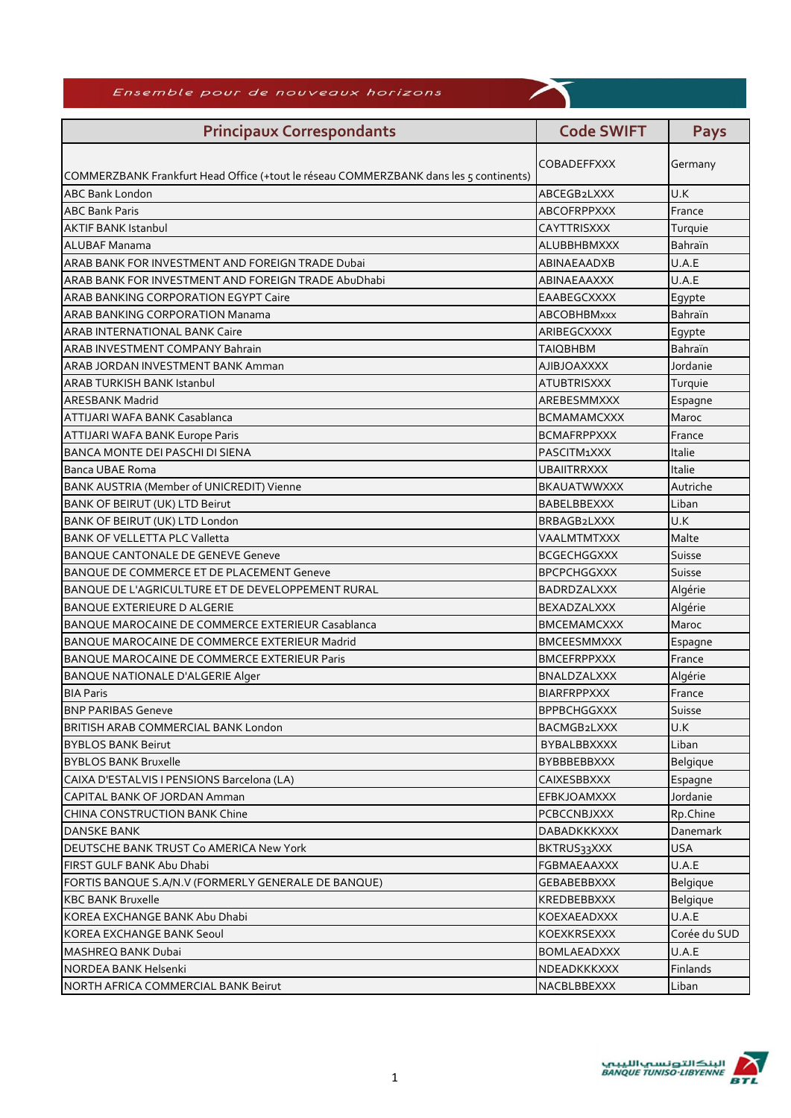| Ensemble pour de nouveaux horizons                                                    |                    |                          |  |
|---------------------------------------------------------------------------------------|--------------------|--------------------------|--|
| <b>Principaux Correspondants</b>                                                      | <b>Code SWIFT</b>  | <b>Pays</b>              |  |
|                                                                                       | <b>COBADEFFXXX</b> | Germany                  |  |
| COMMERZBANK Frankfurt Head Office (+tout le réseau COMMERZBANK dans les 5 continents) |                    |                          |  |
| <b>ABC Bank London</b>                                                                | ABCEGB2LXXX        | U.K                      |  |
| <b>ABC Bank Paris</b>                                                                 | ABCOFRPPXXX        | France                   |  |
| <b>AKTIF BANK Istanbul</b>                                                            | CAYTTRISXXX        | Turquie                  |  |
| <b>ALUBAF Manama</b>                                                                  | <b>ALUBBHBMXXX</b> | Bahraïn                  |  |
| ARAB BANK FOR INVESTMENT AND FOREIGN TRADE Dubai                                      | ABINAEAADXB        | U.A.E                    |  |
| ARAB BANK FOR INVESTMENT AND FOREIGN TRADE AbuDhabi                                   | ABINAEAAXXX        | U.A.E                    |  |
| <b>ARAB BANKING CORPORATION EGYPT Caire</b>                                           | EAABEGCXXXX        | Egypte                   |  |
| <b>ARAB BANKING CORPORATION Manama</b>                                                | ABCOBHBMxxx        | Bahraïn                  |  |
| <b>ARAB INTERNATIONAL BANK Caire</b>                                                  | ARIBEGCXXXX        | Egypte                   |  |
| <b>ARAB INVESTMENT COMPANY Bahrain</b>                                                | <b>TAIQBHBM</b>    | <b>Bahraïn</b>           |  |
| ARAB JORDAN INVESTMENT BANK Amman                                                     | <b>AJIBJOAXXXX</b> | Jordanie                 |  |
| <b>ARAB TURKISH BANK Istanbul</b>                                                     | <b>ATUBTRISXXX</b> | Turquie                  |  |
| <b>ARESBANK Madrid</b>                                                                | AREBESMMXXX        | Espagne                  |  |
| ATTIJARI WAFA BANK Casablanca                                                         | <b>BCMAMAMCXXX</b> | Maroc                    |  |
| <b>ATTIJARI WAFA BANK Europe Paris</b>                                                | <b>BCMAFRPPXXX</b> | France                   |  |
| BANCA MONTE DEI PASCHI DI SIENA                                                       | PASCITM1XXX        | Italie                   |  |
| Banca UBAE Roma                                                                       | <b>UBAIITRRXXX</b> | Italie                   |  |
| BANK AUSTRIA (Member of UNICREDIT) Vienne                                             | <b>BKAUATWWXXX</b> | Autriche                 |  |
| BANK OF BEIRUT (UK) LTD Beirut                                                        | <b>BABELBBEXXX</b> | Liban                    |  |
| BANK OF BEIRUT (UK) LTD London                                                        | BRBAGB2LXXX        | U.K                      |  |
| <b>BANK OF VELLETTA PLC Valletta</b>                                                  | VAALMTMTXXX        | Malte                    |  |
| <b>BANQUE CANTONALE DE GENEVE Geneve</b>                                              | <b>BCGECHGGXXX</b> | Suisse                   |  |
| BANQUE DE COMMERCE ET DE PLACEMENT Geneve                                             | <b>BPCPCHGGXXX</b> | Suisse                   |  |
| BANQUE DE L'AGRICULTURE ET DE DEVELOPPEMENT RURAL                                     | <b>BADRDZALXXX</b> | Algérie                  |  |
| BANQUE EXTERIEURE D ALGERIE                                                           | <b>BEXADZALXXX</b> | Algérie                  |  |
| BANQUE MAROCAINE DE COMMERCE EXTERIEUR Casablanca                                     | <b>BMCEMAMCXXX</b> | Maroc                    |  |
| BANQUE MAROCAINE DE COMMERCE EXTERIEUR Madrid                                         | <b>BMCEESMMXXX</b> | Espagne                  |  |
| BANQUE MAROCAINE DE COMMERCE EXTERIEUR Paris                                          | <b>BMCEFRPPXXX</b> | France                   |  |
| <b>BANQUE NATIONALE D'ALGERIE Alger</b>                                               | <b>BNALDZALXXX</b> | Algérie                  |  |
| <b>BIA Paris</b>                                                                      | <b>BIARFRPPXXX</b> | France                   |  |
| <b>BNP PARIBAS Geneve</b>                                                             | <b>BPPBCHGGXXX</b> | Suisse                   |  |
| BRITISH ARAB COMMERCIAL BANK London                                                   | BACMGB2LXXX        | U.K                      |  |
| <b>BYBLOS BANK Beirut</b>                                                             | <b>BYBALBBXXXX</b> | Liban                    |  |
| <b>BYBLOS BANK Bruxelle</b>                                                           | <b>BYBBBEBBXXX</b> | <b>Belgique</b>          |  |
| CAIXA D'ESTALVIS I PENSIONS Barcelona (LA)                                            | CAIXESBBXXX        | Espagne                  |  |
| CAPITAL BANK OF JORDAN Amman                                                          | <b>EFBKJOAMXXX</b> | Jordanie                 |  |
| CHINA CONSTRUCTION BANK Chine                                                         | <b>PCBCCNBJXXX</b> | Rp.Chine                 |  |
| DANSKE BANK                                                                           | <b>DABADKKKXXX</b> | Danemark                 |  |
| DEUTSCHE BANK TRUST Co AMERICA New York                                               | <b>BKTRUS33XXX</b> | <b>USA</b>               |  |
| FIRST GULF BANK Abu Dhabi                                                             | FGBMAEAAXXX        | U.A.E                    |  |
| FORTIS BANQUE S.A/N.V (FORMERLY GENERALE DE BANQUE)                                   | GEBABEBBXXX        | Belgique                 |  |
| <b>KBC BANK Bruxelle</b>                                                              | KREDBEBBXXX        |                          |  |
| KOREA EXCHANGE BANK Abu Dhabi                                                         |                    | <b>Belgique</b><br>U.A.E |  |
| <b>KOREA EXCHANGE BANK Seoul</b>                                                      | KOEXAEADXXX        |                          |  |
|                                                                                       | KOEXKRSEXXX        | Corée du SUD             |  |
| MASHREQ BANK Dubai                                                                    | <b>BOMLAEADXXX</b> | U.A.E                    |  |
| NORDEA BANK Helsenki                                                                  | NDEADKKKXXX        | Finlands                 |  |
| NORTH AFRICA COMMERCIAL BANK Beirut                                                   | NACBLBBEXXX        | Liban                    |  |